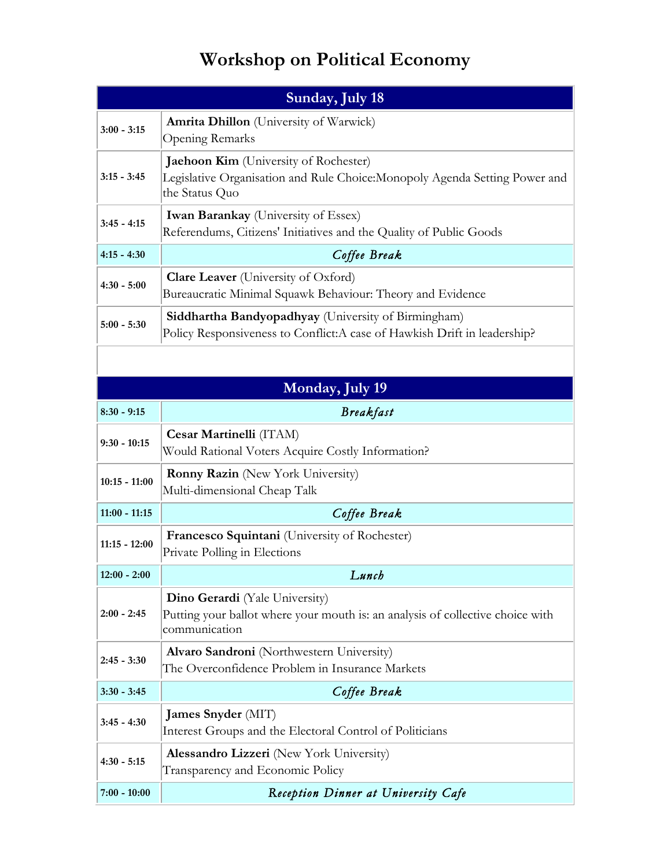## **Workshop on Political Economy**

| Sunday, July 18 |                                                                                                                                               |  |
|-----------------|-----------------------------------------------------------------------------------------------------------------------------------------------|--|
| $3:00 - 3:15$   | <b>Amrita Dhillon</b> (University of Warwick)<br>Opening Remarks                                                                              |  |
| $3:15 - 3:45$   | <b>Jaehoon Kim</b> (University of Rochester)<br>Legislative Organisation and Rule Choice: Monopoly Agenda Setting Power and<br>the Status Quo |  |
| $3:45 - 4:15$   | <b>Iwan Barankay</b> (University of Essex)<br>Referendums, Citizens' Initiatives and the Quality of Public Goods                              |  |
| $4:15 - 4:30$   | Coffee Break                                                                                                                                  |  |
| $4:30 - 5:00$   | <b>Clare Leaver</b> (University of Oxford)<br>Bureaucratic Minimal Squawk Behaviour: Theory and Evidence                                      |  |
| $5:00 - 5:30$   | <b>Siddhartha Bandyopadhyay</b> (University of Birmingham)<br>Policy Responsiveness to Conflict: A case of Hawkish Drift in leadership?       |  |

| Monday, July 19 |                                                                                                                                          |  |
|-----------------|------------------------------------------------------------------------------------------------------------------------------------------|--|
| $8:30 - 9:15$   | <b>Breakfast</b>                                                                                                                         |  |
| $9:30 - 10:15$  | Cesar Martinelli (ITAM)<br>Would Rational Voters Acquire Costly Information?                                                             |  |
| $10:15 - 11:00$ | <b>Ronny Razin</b> (New York University)<br>Multi-dimensional Cheap Talk                                                                 |  |
| $11:00 - 11:15$ | Coffee Break                                                                                                                             |  |
| $11:15 - 12:00$ | Francesco Squintani (University of Rochester)<br>Private Polling in Elections                                                            |  |
| $12:00 - 2:00$  | Lunch                                                                                                                                    |  |
| $2:00 - 2:45$   | <b>Dino Gerardi</b> (Yale University)<br>Putting your ballot where your mouth is: an analysis of collective choice with<br>communication |  |
| $2:45 - 3:30$   | Alvaro Sandroni (Northwestern University)<br>The Overconfidence Problem in Insurance Markets                                             |  |
| $3:30 - 3:45$   | Coffee Break                                                                                                                             |  |
| $3:45 - 4:30$   | James Snyder (MIT)<br>Interest Groups and the Electoral Control of Politicians                                                           |  |
| $4:30 - 5:15$   | Alessandro Lizzeri (New York University)<br>Transparency and Economic Policy                                                             |  |
| $7:00 - 10:00$  | Reception Dinner at University Cafe                                                                                                      |  |